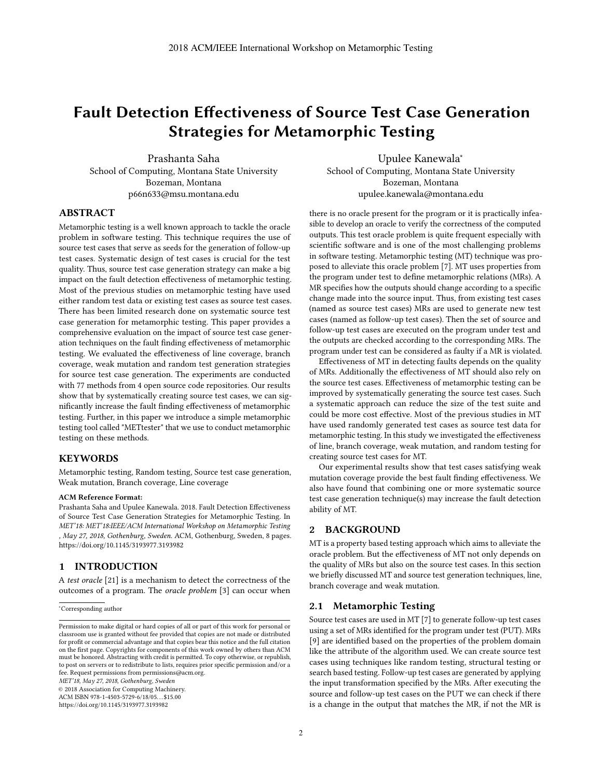# **Fault Detection Strategies for Metamorphic Testing Strategies for Metamorphic Testing**

Prashanta Saha School of Computing, Montana State University Bozeman, Montana p66n633@msu.montana.edu

Upulee Kanewala<sup>∗</sup> School of Computing, Montana State University Bozeman, Montana upulee.kanewala@montana.edu

## **ABSTRACT**

Metamorphic testing is a well known approach to tackle the oracle problem in software testing. This technique requires the use of source test cases that serve as seeds for the generation of follow-up test cases. Systematic design of test cases is crucial for the test quality. Thus, source test case generation strategy can make a big impact on the fault detection effectiveness of metamorphic testing. Most of the previous studies on metamorphic testing have used either random test data or existing test cases as source test cases. There has been limited research done on systematic source test case generation for metamorphic testing. This paper provides a comprehensive evaluation on the impact of source test case generation techniques on the fault finding effectiveness of metamorphic testing. We evaluated the effectiveness of line coverage, branch coverage, weak mutation and random test generation strategies for source test case generation. The experiments are conducted with 77 methods from 4 open source code repositories. Our results show that by systematically creating source test cases, we can significantly increase the fault finding effectiveness of metamorphic testing. Further, in this paper we introduce a simple metamorphic testing tool called "METtester" that we use to conduct metamorphic testing on these methods.

## **KEYWORDS**

Metamorphic testing, Random testing, Source test case generation, Weak mutation, Branch coverage, Line coverage

#### **ACM Reference Format:**

Prashanta Saha and Upulee Kanewala. 2018. Fault Detection Effectiveness of Source Test Case Generation Strategies for Metamorphic Testing. In *MET'18: MET'18:IEEE/ACM International Workshop on Metamorphic Testing , May 27, 2018, Gothenburg, Sweden.* ACM, Gothenburg, Sweden, 8 pages. https://doi.org/10.1145/3193977.3193982

## **1 INTRODUCTION**

A *test oracle* [21] is a mechanism to detect the correctness of the outcomes of a program. The *oracle problem* [3] can occur when

∗ Corresponding author

*MET'18, May 27, 2018, Gothenburg, Sweden*

© 2018 Association for Computing Machinery. ACM ISBN 978-1-4503-5729-6/18/05. . . \$15.00

https://doi.org/10.1145/3193977.3193982

there is no oracle present for the program or it is practically infeasible to develop an oracle to verify the correctness of the computed outputs. This test oracle problem is quite frequent especially with scientific software and is one of the most challenging problems in software testing. Metamorphic testing (MT) technique was proposed to alleviate this oracle problem [7]. MT uses properties from the program under test to define metamorphic relations (MRs). A MR specifies how the outputs should change according to a specific change made into the source input. Thus, from existing test cases (named as source test cases) MRs are used to generate new test cases (named as follow-up test cases). Then the set of source and follow-up test cases are executed on the program under test and the outputs are checked according to the corresponding MRs. The program under test can be considered as faulty if a MR is violated.

Effectiveness of MT in detecting faults depends on the quality of MRs. Additionally the effectiveness of MT should also rely on the source test cases. Effectiveness of metamorphic testing can be improved by systematically generating the source test cases. Such a systematic approach can reduce the size of the test suite and could be more cost effective. Most of the previous studies in MT have used randomly generated test cases as source test data for metamorphic testing. In this study we investigated the effectiveness of line, branch coverage, weak mutation, and random testing for creating source test cases for MT.

Our experimental results show that test cases satisfying weak mutation coverage provide the best fault finding effectiveness. We also have found that combining one or more systematic source test case generation technique(s) may increase the fault detection ability of MT.

## **2 BACKGROUND**

MT is a property based testing approach which aims to alleviate the oracle problem. But the effectiveness of MT not only depends on the quality of MRs but also on the source test cases. In this section we briefly discussed MT and source test generation techniques, line, branch coverage and weak mutation.

## **2.1 Metamorphic Testing**

Source test cases are used in MT [7] to generate follow-up test cases using a set of MRs identified for the program under test (PUT). MRs [9] are identified based on the properties of the problem domain like the attribute of the algorithm used. We can create source test cases using techniques like random testing, structural testing or search based testing. Follow-up test cases are generated by applying the input transformation specified by the MRs. After executing the source and follow-up test cases on the PUT we can check if there is a change in the output that matches the MR, if not the MR is

Permission to make digital or hard copies of all or part of this work for personal or classroom use is granted without fee provided that copies are not made or distributed for profit or commercial advantage and that copies bear this notice and the full citation on the first page. Copyrights for components of this work owned by others than ACM must be honored. Abstracting with credit is permitted. To copy otherwise, or republish, to post on servers or to redistribute to lists, requires prior specific permission and/or a fee. Request permissions from permissions@acm.org.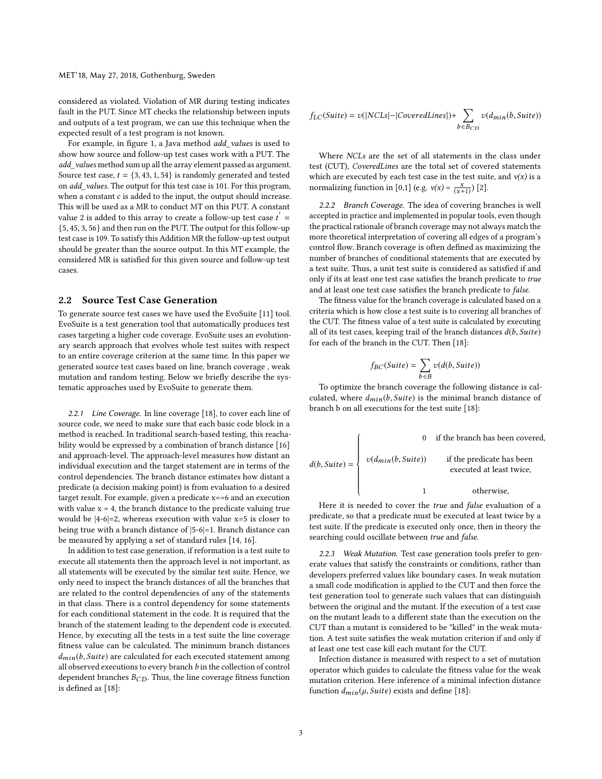considered as violated. Violation of MR during testing indicates fault in the PUT. Since MT checks the relationship between inputs and outputs of a test program, we can use this technique when the expected result of a test program is not known.

For example, in figure 1, a Java method *add\_values* is used to show how source and follow-up test cases work with a PUT. The *add\_values* method sum up all the array element passed as argument. Source test case,  $t = \{3, 43, 1, 54\}$  is randomly generated and tested on *add\_values*. The output for this test case is 101. For this program, when a constant  $c$  is added to the input, the output should increase. This will be used as a MR to conduct MT on this PUT. A constant value 2 is added to this array to create a follow-up test case  $t^{'}$  = {5, 45, 3, 56} and then run on the PUT. The output for this follow-up test case is 109. To satisfy this Addition MR the follow-up test output should be greater than the source output. In this MT example, the considered MR is satisfied for this given source and follow-up test cases.

## **2.2 Source Test Case Generation**

To generate source test cases we have used the EvoSuite [11] tool. EvoSuite is a test generation tool that automatically produces test cases targeting a higher code coverage. EvoSuite uses an evolutionary search approach that evolves whole test suites with respect to an entire coverage criterion at the same time. In this paper we generated source test cases based on line, branch coverage , weak mutation and random testing. Below we briefly describe the systematic approaches used by EvoSuite to generate them.

2.2.1 Line Coverage. In line coverage [18], to cover each line of source code, we need to make sure that each basic code block in a method is reached. In traditional search-based testing, this reachability would be expressed by a combination of branch distance [16] and approach-level. The approach-level measures how distant an individual execution and the target statement are in terms of the control dependencies. The branch distance estimates how distant a predicate (a decision making point) is from evaluation to a desired target result. For example, given a predicate x==6 and an execution with value  $x = 4$ , the branch distance to the predicate valuing true would be  $|4-6|=2$ , whereas execution with value  $x=5$  is closer to being true with a branch distance of |5-6|=1. Branch distance can be measured by applying a set of standard rules [14, 16].

In addition to test case generation, if reformation is a test suite to execute all statements then the approach level is not important, as all statements will be executed by the similar test suite. Hence, we only need to inspect the branch distances of all the branches that are related to the control dependencies of any of the statements in that class. There is a control dependency for some statements for each conditional statement in the code. It is required that the branch of the statement leading to the dependent code is executed. Hence, by executing all the tests in a test suite the line coverage fitness value can be calculated. The minimum branch distances  $d_{min}(b, Suite)$  are calculated for each executed statement among all observed executions to every branch *b* in the collection of control dependent branches  $B_{CD}$ . Thus, the line coverage fitness function is defined as [18]:

$$
f_{LC}(Suite) = v(|NCLs| - |CoveredLines|) + \sum_{b \in B_{CD}} v(d_{min}(b, Suite))
$$

Where *NCLs* are the set of all statements in the class under test (CUT), *CoveredLines* are the total set of covered statements which are executed by each test case in the test suite, and  $v(x)$  is a normalizing function in [0,1] (e.g.  $v(x) = \frac{x}{(x+1)}$ ) [2].

2.2.2 Branch Coverage. The idea of covering branches is well accepted in practice and implemented in popular tools, even though the practical rationale of branch coverage may not always match the more theoretical interpretation of covering all edges of a program's control flow. Branch coverage is often defined as maximizing the number of branches of conditional statements that are executed by a test suite. Thus, a unit test suite is considered as satisfied if and only if its at least one test case satisfies the branch predicate to *true* and at least one test case satisfies the branch predicate to *false*.

The fitness value for the branch coverage is calculated based on a criteria which is how close a test suite is to covering all branches of the CUT. The fitness value of a test suite is calculated by executing all of its test cases, keeping trail of the branch distances  $d(b, Suite)$ for each of the branch in the CUT. Then [18]:

$$
f_{BC}(Suite) = \sum_{b \in B} v(d(b, Suite))
$$

To optimize the branch coverage the following distance is calculated, where  $d_{min}(b, Suite)$  is the minimal branch distance of branch b on all executions for the test suite [18]:

$$
d(b, Suite) = \begin{cases} 0 & \text{if the branch has been covered,} \\ v(d_{min}(b, Suite)) & \text{if the predicate has been executed at least twice,} \\ 1 & \text{otherwise,} \end{cases}
$$

Here it is needed to cover the *true* and *false* evaluation of a predicate, so that a predicate must be executed at least twice by a test suite. If the predicate is executed only once, then in theory the searching could oscillate between *true* and *false*.

2.2.3 Weak Mutation. Test case generation tools prefer to generate values that satisfy the constraints or conditions, rather than developers preferred values like boundary cases. In weak mutation a small code modification is applied to the CUT and then force the test generation tool to generate such values that can distinguish between the original and the mutant. If the execution of a test case on the mutant leads to a different state than the execution on the CUT than a mutant is considered to be "killed" in the weak mutation. A test suite satisfies the weak mutation criterion if and only if at least one test case kill each mutant for the CUT.

Infection distance is measured with respect to a set of mutation operator which guides to calculate the fitness value for the weak mutation criterion. Here inference of a minimal infection distance function  $d_{min}(\mu, Suite)$  exists and define [18]: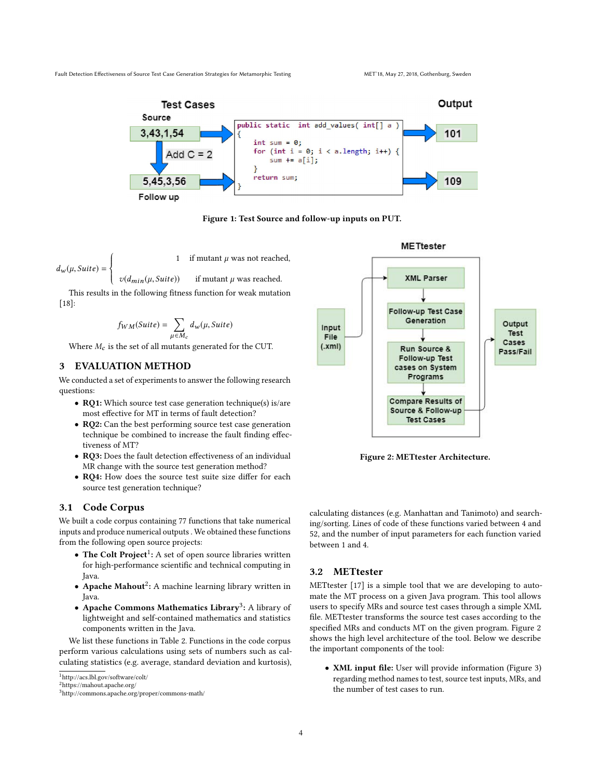

**Figure 1: Test Source and follow-up inputs on PUT.**

 $d_w(\mu, Suite) =$ ⎧⎪⎪⎨ 1 if mutant  $\mu$  was not reached,

 $\overline{\mathcal{L}}$  $v(d_{min}(\mu, Suite))$  if mutant  $\mu$  was reached.

This results in the following fitness function for weak mutation [18]:

$$
f_{WM}(Suite) = \sum_{\mu \in M_c} d_w(\mu, Suite)
$$

Where  $M_c$  is the set of all mutants generated for the CUT.

## **3 EVALUATION METHOD**

We conducted a set of experiments to answer the following research questions:

- **RQ1:** Which source test case generation technique(s) is/are most effective for MT in terms of fault detection?
- **RQ2:** Can the best performing source test case generation technique be combined to increase the fault finding effectiveness of MT?
- **RQ3:** Does the fault detection effectiveness of an individual MR change with the source test generation method?
- **RQ4:** How does the source test suite size differ for each source test generation technique?

## **3.1 Code Corpus**

We built a code corpus containing 77 functions that take numerical inputs and produce numerical outputs . We obtained these functions from the following open source projects:

- **The Colt Project**1**:** A set of open source libraries written for high-performance scientific and technical computing in Java.
- **Apache Mahout<sup>2</sup>:** A machine learning library written in Java.
- **Apache Commons Mathematics Library**3**:** A library of lightweight and self-contained mathematics and statistics components written in the Java.

We list these functions in Table 2. Functions in the code corpus perform various calculations using sets of numbers such as calculating statistics (e.g. average, standard deviation and kurtosis),

**METtester XML Parser Follow-up Test Case** Generation Output Input Test File Cases  $(.xml)$ Run Source & Pass/Fail Follow-up Test cases on System Programs **Compare Results of** Source & Follow-up **Test Cases** 

**Figure 2: METtester Architecture.**

calculating distances (e.g. Manhattan and Tanimoto) and searching/sorting. Lines of code of these functions varied between 4 and 52, and the number of input parameters for each function varied between 1 and 4.

## **3.2 METtester**

METtester [17] is a simple tool that we are developing to automate the MT process on a given Java program. This tool allows users to specify MRs and source test cases through a simple XML file. METtester transforms the source test cases according to the specified MRs and conducts MT on the given program. Figure 2 shows the high level architecture of the tool. Below we describe the important components of the tool:

• **XML input file:** User will provide information (Figure 3) regarding method names to test, source test inputs, MRs, and the number of test cases to run.

<sup>1</sup>http://acs.lbl.gov/software/colt/

<sup>2</sup>https://mahout.apache.org/

<sup>3</sup>http://commons.apache.org/proper/commons-math/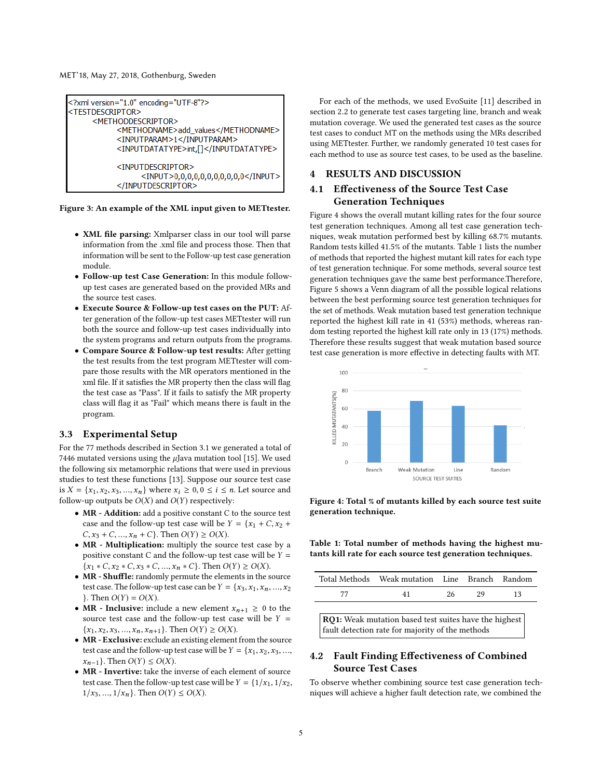MET'18, May 27, 2018, Gothenburg, Sweden

| xml version="1.0" encoding="UTF-8"?   |
|---------------------------------------|
| <testdescriptor></testdescriptor>     |
| <methoddescriptor></methoddescriptor> |
| <methodname>add_values</methodname>   |
| <inputparam>1</inputparam>            |
| <inputdatatype>int,[]</inputdatatype> |
| <inputdescriptor></inputdescriptor>   |
| <input/> 0,0,0,0,0,0,0,0,0,0,0        |
|                                       |

#### **Figure 3: An example of the XML input given to METtester.**

- **XML file parsing:** Xmlparser class in our tool will parse information from the .xml file and process those. Then that information will be sent to the Follow-up test case generation module.
- **Follow-up test Case Generation:** In this module followup test cases are generated based on the provided MRs and the source test cases.
- **Execute Source & Follow-up test cases on the PUT:** After generation of the follow-up test cases METtester will run both the source and follow-up test cases individually into the system programs and return outputs from the programs.
- **Compare Source & Follow-up test results:** After getting the test results from the test program METtester will compare those results with the MR operators mentioned in the xml file. If it satisfies the MR property then the class will flag the test case as "Pass". If it fails to satisfy the MR property class will flag it as "Fail" which means there is fault in the program.

## **3.3 Experimental Setup**

For the 77 methods described in Section 3.1 we generated a total of 7446 mutated versions using the  $\mu$ Java mutation tool [15]. We used the following six metamorphic relations that were used in previous studies to test these functions [13]. Suppose our source test case is  $X = \{x_1, x_2, x_3, ..., x_n\}$  where  $x_i \geq 0, 0 \leq i \leq n$ . Let source and follow-up outputs be  $O(X)$  and  $O(Y)$  respectively:

- **MR Addition:** add a positive constant C to the source test case and the follow-up test case will be  $Y = \{x_1 + C, x_2 + C\}$  $C, x_3 + C, ..., x_n + C$ . Then  $O(Y) \ge O(X)$ .
- **MR Multiplication:** multiply the source test case by a positive constant C and the follow-up test case will be  $Y =$  ${x_1 * C, x_2 * C, x_3 * C, ..., x_n * C}.$  Then  $O(Y) \ge O(X)$ .
- **MR Shuffle:** randomly permute the elements in the source test case. The follow-up test case can be  $Y = \{x_3, x_1, x_n, ..., x_2\}$  $}$ . Then  $O(Y) = O(X)$ .
- **MR Inclusive:** include a new element  $x_{n+1} \ge 0$  to the source test case and the follow-up test case will be  $Y =$  ${x_1, x_2, x_3, ..., x_n, x_{n+1}}$ . Then  $O(Y) \ge O(X)$ .
- **MR Exclusive:** exclude an existing element from the source test case and the follow-up test case will be  $Y = \{x_1, x_2, x_3, \ldots,$  $x_{n-1}$ . Then  $O(Y) \leq O(X)$ .
- **MR Invertive:** take the inverse of each element of source test case. Then the follow-up test case will be  $Y = \frac{1}{x_1}, \frac{1}{x_2}$ ,  $1/x_3, ..., 1/x_n$ . Then  $O(Y) \leq O(X)$ .

For each of the methods, we used EvoSuite [11] described in section 2.2 to generate test cases targeting line, branch and weak mutation coverage. We used the generated test cases as the source test cases to conduct MT on the methods using the MRs described using METtester. Further, we randomly generated 10 test cases for each method to use as source test cases, to be used as the baseline.

## **4 RESULTS AND DISCUSSION**

## **4.1 Effectiveness of the Source Test Case Generation Techniques**

Figure 4 shows the overall mutant killing rates for the four source test generation techniques. Among all test case generation techniques, weak mutation performed best by killing 68.7% mutants. Random tests killed 41.5% of the mutants. Table 1 lists the number of methods that reported the highest mutant kill rates for each type of test generation technique. For some methods, several source test generation techniques gave the same best performance.Therefore, Figure 5 shows a Venn diagram of all the possible logical relations between the best performing source test generation techniques for the set of methods. Weak mutation based test generation technique reported the highest kill rate in 41 (53%) methods, whereas random testing reported the highest kill rate only in 13 (17%) methods. Therefore these results suggest that weak mutation based source test case generation is more effective in detecting faults with MT.



**Figure 4: Total % of mutants killed by each source test suite generation technique.**

**Table 1: Total number of methods having the highest mutants kill rate for each source test generation techniques.**

| Total Methods Weak mutation Line Branch Random |  |    |  |
|------------------------------------------------|--|----|--|
| 41                                             |  | 29 |  |
|                                                |  |    |  |

**RQ1:** Weak mutation based test suites have the highest fault detection rate for majority of the methods

## **4.2 Fault Finding Effectiveness of Combined Source Test Cases**

To observe whether combining source test case generation techniques will achieve a higher fault detection rate, we combined the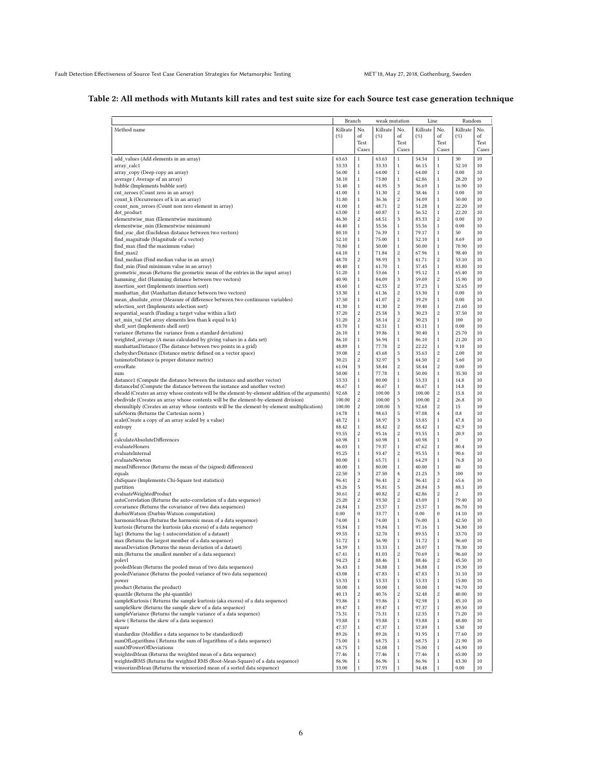# **Table 2: All methods with Mutants kill rates and test suite size for each Source test case generation technique**

|                                                                                                                                         | Branch         |                                        | weak mutation  |                                | Line           |                                  | Random         |              |
|-----------------------------------------------------------------------------------------------------------------------------------------|----------------|----------------------------------------|----------------|--------------------------------|----------------|----------------------------------|----------------|--------------|
| Method name                                                                                                                             | Killrate       | No.                                    | Killrate       | No.                            | Killrate       | No.                              | Killrate       | No.          |
|                                                                                                                                         | (%)            | of                                     | (%)            | οf                             | $(\%)$         | of                               | $(\%)$         | of           |
|                                                                                                                                         |                | Test                                   |                | Test                           |                | Test                             |                | Test         |
|                                                                                                                                         |                | Cases                                  |                | Cases                          |                | Cases                            |                | Cases        |
| add_values (Add elements in an array)                                                                                                   | 63.63          | $\mathbf 1$                            | 63.63          | $\mathbf{1}$                   | 54.54          | $\mathbf{1}$                     | 30             | 10           |
| array_calc1                                                                                                                             | 33.33          | 1                                      | 33.33          | $\mathbf{1}$                   | 46.15          | 1                                | 52.10          | 10           |
| array_copy (Deep copy an array)                                                                                                         | 56.00          | $\mathbf 1$<br>$\mathbf{1}$            | 64.00          | $\mathbf{1}$                   | 64.00          | $\mathbf{1}$                     | 0.00           | 10<br>10     |
| average (Average of an array)<br>bubble (Implements bubble sort)                                                                        | 38.10<br>51.40 | $\mathbf 1$                            | 73.80<br>44.95 | $1\,$<br>3                     | 42.86<br>36.69 | $\mathbf{1}$<br>$\mathbf{1}$     | 28.20<br>16.90 | 10           |
| cnt_zeroes (Count zero in an array)                                                                                                     | 41.00          | 1                                      | 51.30          | $\,2$                          | 38.46          | $\mathbf{1}$                     | 0.00           | 10           |
| count_k (Occurrences of k in an array)                                                                                                  | 31.80          | $\mathbf{1}$                           | 36.36          | $\,2$                          | 34.09          | $\mathbf{1}$                     | 50.00          | 10           |
| count_non_zeroes (Count non zero element in array)                                                                                      | 41.00          | 1                                      | 48.71          | $\,2$                          | 51.28          | $1\,$                            | 22.20          | 10           |
| dot_product                                                                                                                             | 63.00          | $\mathbf 1$                            | 60.87          | $\mathbf{1}$                   | 56.52          | $\mathbf{1}$                     | 22.20          | 10           |
| elementwise_max (Elementwise maximum)                                                                                                   | 46.30          | $\overline{c}$                         | 68.51          | 3                              | 83.33          | $\,2$                            | 0.00           | 10           |
| elementwise_min (Elementwise minimum)                                                                                                   | 44.40          | $\mathbf 1$<br>$\mathbf 1$             | 55.56          | $\,1\,$<br>$\mathbf{1}$        | 55.56          | $\mathbf{1}$<br>$\mathbf{1}$     | 0.00<br>50     | 10<br>10     |
| find_euc_dist (Euclidean distance between two vectors)<br>find_magnitude (Magnitude of a vector)                                        | 80.10<br>52.10 | $\mathbf 1$                            | 76.39<br>75.00 | $\mathbf{1}$                   | 79.17<br>52.10 | 1                                | 8.69           | 10           |
| find_max (find the maximum value)                                                                                                       | 70.80          | $\mathbf{1}$                           | 50.00          | $\mathbf{1}$                   | 50.00          | $\mathbf{1}$                     | 70.90          | 10           |
| find max2                                                                                                                               | 64.10          | $\mathbf 1$                            | 71.84          | $\,2$                          | 67.96          | $\mathbf{1}$                     | 98.40          | 10           |
| find_median (Find median value in an array)                                                                                             | 48.70          | $\overline{c}$                         | 98.93          | 3                              | 41.71          | 2                                | 53.10          | 10           |
| find_min (Find minimum value in an array)                                                                                               | 40.40          | 1                                      | 61.70          | $1\,$                          | 57.45          | $1\,$                            | 83.80          | 10           |
| geometric_mean (Returns the geometric mean of the entries in the input array)                                                           | 51.20          | $\mathbf 1$                            | 53.66          | $\mathbf{1}$                   | 95.12          | $\mathbf{1}$                     | 65.40          | 10           |
| hamming_dist (Hamming distance between two vectors)                                                                                     | 40.90          | $\mathbf{1}$                           | 84.09          | 3                              | 59.09          | $\,2$                            | 15.90          | 10           |
| insertion_sort (Implements insertion sort)                                                                                              | 43.60          | $\mathbf 1$<br>1                       | 42.55          | $\,2$<br>$\,2$                 | 37.23          | $\mathbf{1}$                     | 32.65<br>0.00  | 10<br>10     |
| manhattan_dist (Manhattan distance between two vectors)<br>mean_absolute_error (Measure of difference between two continuous variables) | 53.30<br>37.50 | $\mathbf{1}$                           | 61.36<br>41.07 | $\,2$                          | 53.30<br>39.29 | $\mathbf{1}$<br>$\mathbf{1}$     | 0.00           | 10           |
| selection_sort (Implements selection sort)                                                                                              | 41.30          | 1                                      | 41.30          | $\,2$                          | 39.40          | $1\,$                            | 21.60          | 10           |
| sequential_search (Finding a target value within a list)                                                                                | 37.20          | $\boldsymbol{2}$                       | 25.58          | 3                              | 30.23          | $\,2$                            | 37.50          | 10           |
| set_min_val (Set array elements less than k equal to k)                                                                                 | 51.20          | $\boldsymbol{2}$                       | 58.14          | $\,2$                          | 30.23          | $\mathbf{1}$                     | 100            | 10           |
| shell_sort (Implements shell sort)                                                                                                      | 43.70          | $\mathbf 1$                            | 42.51          | $\mathbf{1}$                   | 43.11          | $\mathbf{1}$                     | 0.00           | 10           |
| variance (Returns the variance from a standard deviation)                                                                               | 26.10          | $\mathbf 1$                            | 39.86          | $\mathbf{1}$                   | 30.40          | $\mathbf{1}$                     | 25.70          | 10           |
| weighted_average (A mean calculated by giving values in a data set)                                                                     | 86.10          | $\mathbf 1$                            | 56.94          | $\mathbf{1}$                   | 86.10          | 1                                | 21.20          | 10           |
| manhattanDistance (The distance between two points in a grid)                                                                           | 48.89<br>39.08 | $\mathbf{1}$<br>$\overline{c}$         | 77.78          | $\,2$<br>5                     | 22.22          | $\mathbf{1}$<br>$\,2$            | 9.10<br>2.00   | 10<br>10     |
| chebyshevDistance (Distance metric defined on a vector space)<br>tanimotoDistance (a proper distance metric)                            | 30.21          | $\boldsymbol{2}$                       | 43.68<br>32.97 | 5                              | 35.63<br>44.50 | $\,2$                            | 5.60           | 10           |
| errorRate                                                                                                                               | 61.04          | 3                                      | 58.44          | $\boldsymbol{2}$               | 58.44          | $\,2$                            | 0.00           | 10           |
| sum                                                                                                                                     | 50.00          | $\mathbf 1$                            | 77.78          | $\mathbf{1}$                   | 50.00          | $\mathbf{1}$                     | 35.30          | 10           |
| distance1 (Compute the distance between the instance and another vector)                                                                | 53.33          | $\,1$                                  | 80.00          | $1\,$                          | 53.33          | $1\,$                            | 14.8           | 10           |
| distanceInf (Compute the distance between the instance and another vector)                                                              | 46.67          | $\mathbf 1$                            | 46.67          | $\mathbf{1}$                   | 46.67          | $\mathbf{1}$                     | 14.8           | 10           |
| ebeadd (Creates an array whose contents will be the element-by-element addition of the arguments)                                       | 92.68          | $\overline{\mathbf{c}}$                | 100.00         | 3                              | 100.00         | $\,2$                            | 15.8           | 10           |
| ebedivide (Creates an array whose contents will be the element-by-element division)                                                     | 100.00         | $\overline{c}$                         | 100.00         | 5                              | 100.00         | 2                                | 26.8           | 10           |
| ebemultiply (Creates an array whose contents will be the element-by-element multiplication)                                             | 100.00         | $\overline{\mathbf{c}}$<br>$\mathbf 1$ | 100.00         | 3                              | 92.68          | $\,2$<br>$\overline{4}$          | 15<br>0.8      | 10<br>$10\,$ |
| safeNorm (Returns the Cartesian norm)<br>scale(Create a copy of an array scaled by a value)                                             | 14.78<br>48.72 | $\mathbf 1$                            | 98.63<br>58.97 | 5<br>3                         | 97.08<br>53.85 | $\mathbf{1}$                     | 47.8           | 10           |
| entropy                                                                                                                                 | 88.42          | $\mathbf 1$                            | 88.42          | $\,2$                          | 88.42          | $\mathbf{1}$                     | 42.9           | 10           |
|                                                                                                                                         | 93.55          | $\overline{\mathbf{c}}$                | 95.16          | $\,2$                          | 93.55          | $\mathbf{1}$                     | 20.9           | 10           |
| calculateAbsoluteDifferences                                                                                                            | 60.98          | $\mathbf 1$                            | 60.98          | $1\,$                          | 60.98          | 1                                | $\Omega$       | 10           |
| evaluateHoners                                                                                                                          | 46.03          | $\mathbf{1}$                           | 79.37          | $\mathbf{1}$                   | 47.62          | $\mathbf{1}$                     | 80.4           | 10           |
| evaluateInternal                                                                                                                        | 95.25          | $\mathbf{1}$                           | 93.47          | $\,2$                          | 95.55          | $\mathbf{1}$                     | 90.6           | 10           |
| evaluateNewton                                                                                                                          | 80.00          | $\mathbf 1$                            | 65.71          | $\mathbf{1}$                   | 64.29          | $\mathbf{1}$                     | 76.8<br>40     | 10           |
| meanDifference (Returns the mean of the (signed) differences)<br>equals                                                                 | 40.00<br>22.50 | 1<br>3                                 | 80.00<br>27.50 | $\mathbf{1}$<br>$\overline{4}$ | 40.00<br>21.25 | $\mathbf{1}$<br>3                | 100            | 10<br>10     |
| chiSquare (Implements Chi-Square test statistics)                                                                                       | 96.41          | $\,2$                                  | 96.41          | $\,2$                          | 96.41          | $\,2$                            | 65.6           | 10           |
| partition                                                                                                                               | 43.26          | 5                                      | 95.81          | 5                              | 28.84          | 3                                | 88.1           | 10           |
| evaluateWeightedProduct                                                                                                                 | 30.61          | $\overline{\mathbf{c}}$                | 40.82          | $\,2$                          | 42.86          | $\,2$                            | 2              | 10           |
| autoCorrelation (Returns the auto-correlation of a data sequence)                                                                       | 25.20          | $\overline{c}$                         | 93.50          | $\,2$                          | 43.09          | $\mathbf{1}$                     | 79.40          | 10           |
| covariance (Returns the covariance of two data sequences)                                                                               | 24.84          | $\mathbf 1$                            | 23.57          | $\mathbf{1}$                   | 23.57          | $\mathbf{1}$                     | 86.70          | 10           |
| durbinWatson (Durbin-Watson computation)                                                                                                | 0.00<br>74.00  | $\bf{0}$<br>1                          | 33.77<br>74.00 | $1\,$<br>$1\,$                 | 0.00<br>76.00  | $\boldsymbol{0}$<br>$\mathbf{1}$ | 14.10<br>42.50 | 10<br>10     |
| harmonicMean (Returns the harmonic mean of a data sequence)<br>kurtosis (Returns the kurtosis (aka excess) of a data sequence)          | 93.84          | $\mathbf 1$                            | 93.84          | $\mathbf{1}$                   | 97.16          | $\mathbf{1}$                     | 34.80          | 10           |
| lag1 (Returns the lag-1 autocorrelation of a dataset)                                                                                   | 99.55          | $\mathbf 1$                            | 32.70          | $1\,$                          | 89.55          | $\mathbf{1}$                     | 33.70          | 10           |
| max (Returns the largest member of a data sequence)                                                                                     | 51.72          | 1                                      | 56.90          | $1\,$                          | 51.72          | 1                                | 96.60          | 10           |
| meanDeviation (Returns the mean deviation of a dataset)                                                                                 | 54.39          | $\mathbf{1}$                           | 33.33          | $1\,$                          | 28.07          | $\mathbf{1}$                     | 78.30          | 10           |
| min (Returns the smallest member of a data sequence)                                                                                    | 67.41          |                                        | 81.03          | $\,2$                          | 70.69          | $\mathbf{1}$                     | 96.60          | 10           |
| polevl                                                                                                                                  | 94.23          | $\overline{\mathbf{c}}$                | 88.46          | $1\,$                          | 88.46          | $\,2$                            | 45.50          | 10           |
| pooledMean (Returns the pooled mean of two data sequences)                                                                              | 36.43          | 1                                      | 34.88          | $\,1\,$                        | 34.88          | $1\,$                            | 19.30          | 10           |
| pooledVariance (Returns the pooled variance of two data sequences)<br>power                                                             | 43.08<br>53.33 | $\mathbf 1$<br>1                       | 47.83<br>53.33 | $\mathbf{1}$<br>$1\,$          | 47.83<br>53.33 | $\mathbf{1}$<br>$1\,$            | 31.10<br>15.80 | 10<br>10     |
| product (Returns the product)                                                                                                           | 50.00          | $\mathbf 1$                            | 50.00          | $\mathbf{1}$                   | 50.00          | $\mathbf{1}$                     | 94.70          | 10           |
| quantile (Returns the phi-quantile)                                                                                                     | 40.13          | $\boldsymbol{2}$                       | 40.76          | $\boldsymbol{2}$               | 32.48          | $\,2$                            | 40.00          | 10           |
| sampleKurtosis (Returns the sample kurtosis (aka excess) of a data sequence)                                                            | 93.86          | $\mathbf 1$                            | 93.86          | $\mathbf{1}$                   | 92.98          | $\,1\,$                          | 85.10          | $10\,$       |
| sampleSkew (Returns the sample skew of a data sequence)                                                                                 | 89.47          | 1                                      | 89.47          | $\mathbf{1}$                   | 97.37          | $\mathbf{1}$                     | 89.50          | 10           |
| sampleVariance (Returns the sample variance of a data sequence)                                                                         | 75.31          | 1                                      | 75.31          | $1\,$                          | 12.35          | $\mathbf{1}$                     | 71.20          | 10           |
| skew (Returns the skew of a data sequence)                                                                                              | 93.88          | 1                                      | 93.88          | $1\,$                          | 93.88          | $\mathbf{1}$                     | 48.80          | 10           |
| square<br>standardize (Modifies a data sequence to be standardized)                                                                     | 47.37          | $\mathbf 1$                            | 47.37          | $1\,$                          | 57.89          | $\mathbf{1}$                     | 5.30           | 10           |
| sumOfLogarithms (Returns the sum of logarithms of a data sequence)                                                                      | 89.26<br>75.00 | 1<br>$\mathbf 1$                       | 89.26<br>68.75 | $\mathbf{1}$<br>$1\,$          | 91.95<br>68.75 | $\mathbf{1}$<br>$1\,$            | 77.60<br>21.90 | 10<br>10     |
| sumOfPowerOfDeviations                                                                                                                  | 68.75          | $\mathbf 1$                            | 52.08          | $\mathbf{1}$                   | 75.00          | $\mathbf{1}$                     | 64.90          | 10           |
| weightedMean (Returns the weighted mean of a data sequence)                                                                             | 77.46          | 1                                      | 77.46          | $\,1\,$                        | 77.46          | $1\,$                            | 65.00          | 10           |
| weightedRMS (Returns the weighted RMS (Root-Mean-Square) of a data sequence)                                                            | 86.96          | $\mathbf 1$                            | 86.96          | $1\,$                          | 86.96          | $\mathbf{1}$                     | 43.30          | 10           |
| winsorizedMean (Returns the winsorized mean of a sorted data sequence)                                                                  | 33.00          | 1                                      | 37.93          | $\,1\,$                        | 34.48          | $\mathbf{1}$                     | $0.00\,$       | $10\,$       |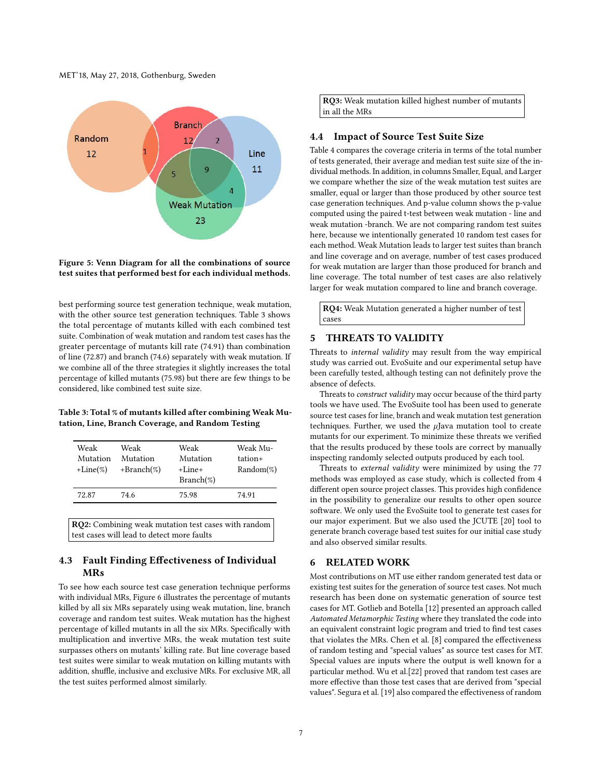MET'18, May 27, 2018, Gothenburg, Sweden



#### **Figure 5: Venn Diagram for all the combinations of source test suites that performed best for each individual methods.**

best performing source test generation technique, weak mutation, with the other source test generation techniques. Table 3 shows the total percentage of mutants killed with each combined test suite. Combination of weak mutation and random test cases has the greater percentage of mutants kill rate (74.91) than combination of line (72.87) and branch (74.6) separately with weak mutation. If we combine all of the three strategies it slightly increases the total percentage of killed mutants (75.98) but there are few things to be considered, like combined test suite size.

## **Table 3: Total % of mutants killed after combining Weak Mutation, Line, Branch Coverage, and Random Testing**

| Weak<br>Mutation<br>$+Line(\%)$ | Weak<br>Mutation<br>$+B$ ranch $(\%)$ | Weak<br>Mutation<br>$+$ Line $+$<br>Branch $(\%)$ | Weak Mu-<br>tation+<br>$Random(\%)$ |
|---------------------------------|---------------------------------------|---------------------------------------------------|-------------------------------------|
| 72.87                           | 74.6                                  | 75.98                                             | 74.91                               |

**RQ2:** Combining weak mutation test cases with random test cases will lead to detect more faults

## **4.3 Fault Finding Effectiveness of Individual MRs**

To see how each source test case generation technique performs with individual MRs, Figure 6 illustrates the percentage of mutants killed by all six MRs separately using weak mutation, line, branch coverage and random test suites. Weak mutation has the highest percentage of killed mutants in all the six MRs. Specifically with multiplication and invertive MRs, the weak mutation test suite surpasses others on mutants' killing rate. But line coverage based test suites were similar to weak mutation on killing mutants with addition, shuffle, inclusive and exclusive MRs. For exclusive MR, all the test suites performed almost similarly.

**RQ3:** Weak mutation killed highest number of mutants in all the MRs

## **4.4 Impact of Source Test Suite Size**

Table 4 compares the coverage criteria in terms of the total number of tests generated, their average and median test suite size of the individual methods. In addition, in columns Smaller, Equal, and Larger we compare whether the size of the weak mutation test suites are smaller, equal or larger than those produced by other source test case generation techniques. And p-value column shows the p-value computed using the paired t-test between weak mutation - line and weak mutation -branch. We are not comparing random test suites here, because we intentionally generated 10 random test cases for each method. Weak Mutation leads to larger test suites than branch and line coverage and on average, number of test cases produced for weak mutation are larger than those produced for branch and line coverage. The total number of test cases are also relatively larger for weak mutation compared to line and branch coverage.

**RQ4:** Weak Mutation generated a higher number of test cases

## **5 THREATS TO VALIDITY**

Threats to *internal validity* may result from the way empirical study was carried out. EvoSuite and our experimental setup have been carefully tested, although testing can not definitely prove the absence of defects.

Threats to *construct validity* may occur because of the third party tools we have used. The EvoSuite tool has been used to generate source test cases for line, branch and weak mutation test generation techniques. Further, we used the  $\mu$ Java mutation tool to create mutants for our experiment. To minimize these threats we verified that the results produced by these tools are correct by manually inspecting randomly selected outputs produced by each tool.

Threats to *external validity* were minimized by using the 77 methods was employed as case study, which is collected from 4 different open source project classes. This provides high confidence in the possibility to generalize our results to other open source software. We only used the EvoSuite tool to generate test cases for our major experiment. But we also used the JCUTE [20] tool to generate branch coverage based test suites for our initial case study and also observed similar results.

## **6 RELATED WORK**

Most contributions on MT use either random generated test data or existing test suites for the generation of source test cases. Not much research has been done on systematic generation of source test cases for MT. Gotlieb and Botella [12] presented an approach called *Automated Metamorphic Testing* where they translated the code into an equivalent constraint logic program and tried to find test cases that violates the MRs. Chen et al. [8] compared the effectiveness of random testing and "special values" as source test cases for MT. Special values are inputs where the output is well known for a particular method. Wu et al.[22] proved that random test cases are more effective than those test cases that are derived from "special values". Segura et al. [19] also compared the effectiveness of random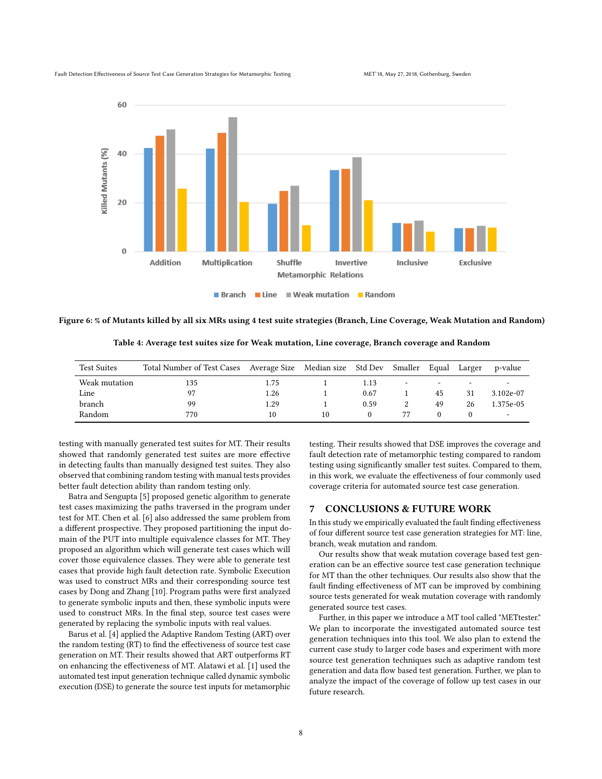

 $Branch$ ■ Line  $\blacksquare$  Weak mutation  $\blacksquare$  Random

**Figure 6: % of Mutants killed by all six MRs using 4 test suite strategies (Branch, Line Coverage, Weak Mutation and Random)**

| <b>Test Suites</b> | Total Number of Test Cases Average Size Median size Std Dev |      |    |      | Smaller                  |        | Equal Larger | p-value   |
|--------------------|-------------------------------------------------------------|------|----|------|--------------------------|--------|--------------|-----------|
| Weak mutation      | 135                                                         | 1.75 |    | 1.13 | $\overline{\phantom{a}}$ | $\sim$ |              |           |
| Line               | 97                                                          | 1.26 |    | 0.67 |                          | 45     | 31           | 3.102e-07 |
| branch             | 99                                                          | 1.29 |    | 0.59 |                          | 49     | 26           | 1.375e-05 |
| Random             | 770                                                         | 10   | 10 |      |                          |        |              | -         |

**Table 4: Average test suites size for Weak mutation, Line coverage, Branch coverage and Random**

testing with manually generated test suites for MT. Their results showed that randomly generated test suites are more effective in detecting faults than manually designed test suites. They also observed that combining random testing with manual tests provides better fault detection ability than random testing only.

Batra and Sengupta [5] proposed genetic algorithm to generate test cases maximizing the paths traversed in the program under test for MT. Chen et al. [6] also addressed the same problem from a different prospective. They proposed partitioning the input domain of the PUT into multiple equivalence classes for MT. They proposed an algorithm which will generate test cases which will cover those equivalence classes. They were able to generate test cases that provide high fault detection rate. Symbolic Execution was used to construct MRs and their corresponding source test cases by Dong and Zhang [10]. Program paths were first analyzed to generate symbolic inputs and then, these symbolic inputs were used to construct MRs. In the final step, source test cases were generated by replacing the symbolic inputs with real values.

Barus et al. [4] applied the Adaptive Random Testing (ART) over the random testing (RT) to find the effectiveness of source test case generation on MT. Their results showed that ART outperforms RT on enhancing the effectiveness of MT. Alatawi et al. [1] used the automated test input generation technique called dynamic symbolic execution (DSE) to generate the source test inputs for metamorphic testing. Their results showed that DSE improves the coverage and fault detection rate of metamorphic testing compared to random testing using significantly smaller test suites. Compared to them, in this work, we evaluate the effectiveness of four commonly used coverage criteria for automated source test case generation.

#### **7 CONCLUSIONS & FUTURE WORK**

In this study we empirically evaluated the fault finding effectiveness of four different source test case generation strategies for MT: line, branch, weak mutation and random.

Our results show that weak mutation coverage based test generation can be an effective source test case generation technique for MT than the other techniques. Our results also show that the fault finding effectiveness of MT can be improved by combining source tests generated for weak mutation coverage with randomly generated source test cases.

Further, in this paper we introduce a MT tool called "METtester." We plan to incorporate the investigated automated source test generation techniques into this tool. We also plan to extend the current case study to larger code bases and experiment with more source test generation techniques such as adaptive random test generation and data flow based test generation. Further, we plan to analyze the impact of the coverage of follow up test cases in our future research.